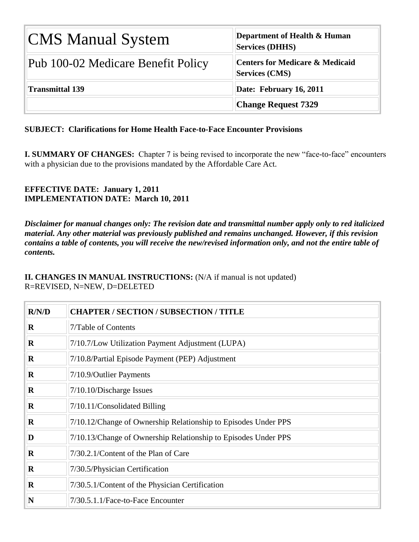| <b>CMS Manual System</b>           | Department of Health & Human<br><b>Services (DHHS)</b>              |
|------------------------------------|---------------------------------------------------------------------|
| Pub 100-02 Medicare Benefit Policy | <b>Centers for Medicare &amp; Medicaid</b><br><b>Services (CMS)</b> |
| <b>Transmittal 139</b>             | Date: February 16, 2011                                             |
|                                    | <b>Change Request 7329</b>                                          |

## **SUBJECT: Clarifications for Home Health Face-to-Face Encounter Provisions**

**I. SUMMARY OF CHANGES:** Chapter 7 is being revised to incorporate the new "face-to-face" encounters with a physician due to the provisions mandated by the Affordable Care Act.

## **EFFECTIVE DATE: January 1, 2011 IMPLEMENTATION DATE: March 10, 2011**

*Disclaimer for manual changes only: The revision date and transmittal number apply only to red italicized material. Any other material was previously published and remains unchanged. However, if this revision contains a table of contents, you will receive the new/revised information only, and not the entire table of contents.*

## **II. CHANGES IN MANUAL INSTRUCTIONS:** (N/A if manual is not updated) R=REVISED, N=NEW, D=DELETED

| R/N/D       | <b>CHAPTER / SECTION / SUBSECTION / TITLE</b>                  |
|-------------|----------------------------------------------------------------|
| $\bf R$     | 7/Table of Contents                                            |
| R           | 7/10.7/Low Utilization Payment Adjustment (LUPA)               |
| $\bf R$     | 7/10.8/Partial Episode Payment (PEP) Adjustment                |
| $\bf{R}$    | 7/10.9/Outlier Payments                                        |
| $\mathbf R$ | 7/10.10/Discharge Issues                                       |
| $\bf{R}$    | 7/10.11/Consolidated Billing                                   |
| $\bf{R}$    | 7/10.12/Change of Ownership Relationship to Episodes Under PPS |
| D           | 7/10.13/Change of Ownership Relationship to Episodes Under PPS |
| $\bf{R}$    | 7/30.2.1/Content of the Plan of Care                           |
| $\mathbf R$ | 7/30.5/Physician Certification                                 |
| $\bf{R}$    | 7/30.5.1/Content of the Physician Certification                |
| N           | 7/30.5.1.1/Face-to-Face Encounter                              |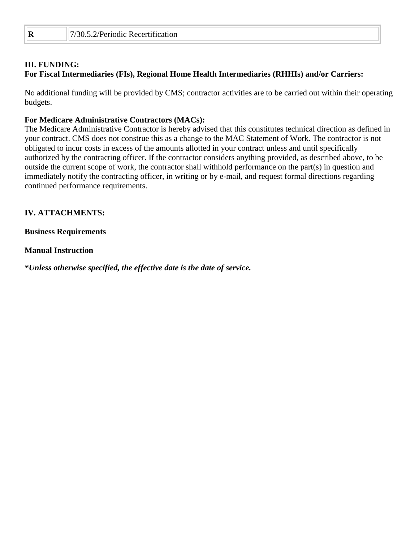## **III. FUNDING:**

## **For Fiscal Intermediaries (FIs), Regional Home Health Intermediaries (RHHIs) and/or Carriers:**

No additional funding will be provided by CMS; contractor activities are to be carried out within their operating budgets.

## **For Medicare Administrative Contractors (MACs):**

The Medicare Administrative Contractor is hereby advised that this constitutes technical direction as defined in your contract. CMS does not construe this as a change to the MAC Statement of Work. The contractor is not obligated to incur costs in excess of the amounts allotted in your contract unless and until specifically authorized by the contracting officer. If the contractor considers anything provided, as described above, to be outside the current scope of work, the contractor shall withhold performance on the part(s) in question and immediately notify the contracting officer, in writing or by e-mail, and request formal directions regarding continued performance requirements.

**IV. ATTACHMENTS:**

## **Business Requirements**

## **Manual Instruction**

*\*Unless otherwise specified, the effective date is the date of service.*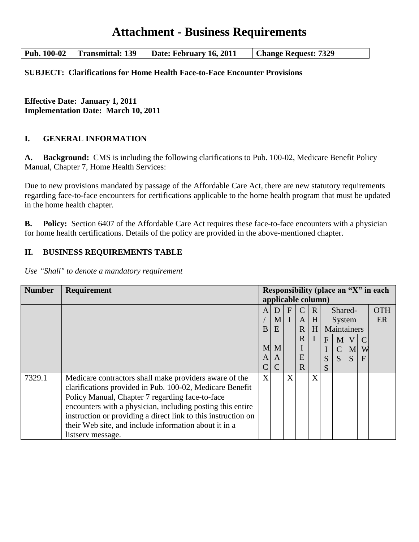## **Attachment - Business Requirements**

**Pub. 100-02 Transmittal: 139 Date: February 16, 2011 Change Request: 7329**

#### **SUBJECT: Clarifications for Home Health Face-to-Face Encounter Provisions**

**Effective Date: January 1, 2011 Implementation Date: March 10, 2011**

#### **I. GENERAL INFORMATION**

**A. Background:** CMS is including the following clarifications to Pub. 100-02, Medicare Benefit Policy Manual, Chapter 7, Home Health Services:

Due to new provisions mandated by passage of the Affordable Care Act, there are new statutory requirements regarding face-to-face encounters for certifications applicable to the home health program that must be updated in the home health chapter.

**B. Policy:** Section 6407 of the Affordable Care Act requires these face-to-face encounters with a physician for home health certifications. Details of the policy are provided in the above-mentioned chapter.

#### **II. BUSINESS REQUIREMENTS TABLE**

*Use "Shall" to denote a mandatory requirement*

| <b>Number</b> | <b>Requirement</b>                                            | Responsibility (place an "X" in each<br>applicable column) |              |             |               |                |   |                |              |                |            |
|---------------|---------------------------------------------------------------|------------------------------------------------------------|--------------|-------------|---------------|----------------|---|----------------|--------------|----------------|------------|
|               |                                                               |                                                            |              |             |               |                |   |                |              |                |            |
|               |                                                               | A                                                          | D            | F           | $\mathcal{C}$ | $\mathbf{R}$   |   |                | Shared-      |                | <b>OTH</b> |
|               |                                                               |                                                            | $\mathbf{M}$ | $\mathbf I$ | $\mathbf{A}$  | H              |   |                | System       |                | ER         |
|               |                                                               | B                                                          | E            |             | $\mathbf{R}$  | H <sub>l</sub> |   |                | Maintainers  |                |            |
|               |                                                               |                                                            |              |             | $\mathbf R$   |                | F | M <sub>l</sub> | $\mathbf{V}$ |                |            |
|               |                                                               | M                                                          | M            |             |               |                |   | $\mathbf C$    | M            | W              |            |
|               |                                                               | A                                                          | A            |             | E             |                | S | S              | S            | $\overline{F}$ |            |
|               |                                                               |                                                            |              |             | $\mathbf R$   |                | S |                |              |                |            |
| 7329.1        | Medicare contractors shall make providers aware of the        | X                                                          |              | X           |               | X              |   |                |              |                |            |
|               | clarifications provided in Pub. 100-02, Medicare Benefit      |                                                            |              |             |               |                |   |                |              |                |            |
|               | Policy Manual, Chapter 7 regarding face-to-face               |                                                            |              |             |               |                |   |                |              |                |            |
|               | encounters with a physician, including posting this entire    |                                                            |              |             |               |                |   |                |              |                |            |
|               | instruction or providing a direct link to this instruction on |                                                            |              |             |               |                |   |                |              |                |            |
|               | their Web site, and include information about it in a         |                                                            |              |             |               |                |   |                |              |                |            |
|               | listserv message.                                             |                                                            |              |             |               |                |   |                |              |                |            |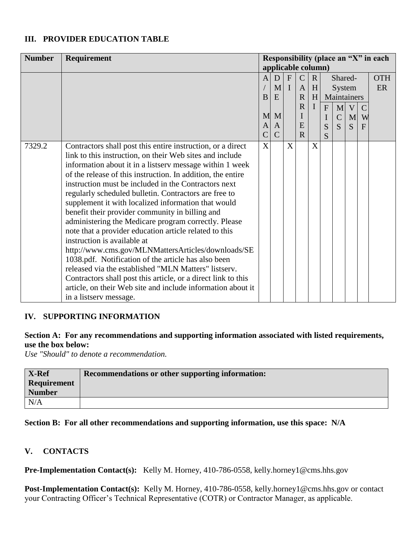#### **III. PROVIDER EDUCATION TABLE**

| <b>Number</b> | Requirement<br>Responsibility (place an "X" in each                                                                                                                                                                                                                                                                                                                                                                                                                                                                                                                                                                                                                                                                                                                                                                                                                                                                                                           |                    |              |              |              |                |   |             |              |                |            |
|---------------|---------------------------------------------------------------------------------------------------------------------------------------------------------------------------------------------------------------------------------------------------------------------------------------------------------------------------------------------------------------------------------------------------------------------------------------------------------------------------------------------------------------------------------------------------------------------------------------------------------------------------------------------------------------------------------------------------------------------------------------------------------------------------------------------------------------------------------------------------------------------------------------------------------------------------------------------------------------|--------------------|--------------|--------------|--------------|----------------|---|-------------|--------------|----------------|------------|
|               |                                                                                                                                                                                                                                                                                                                                                                                                                                                                                                                                                                                                                                                                                                                                                                                                                                                                                                                                                               | applicable column) |              |              |              |                |   |             |              |                |            |
|               |                                                                                                                                                                                                                                                                                                                                                                                                                                                                                                                                                                                                                                                                                                                                                                                                                                                                                                                                                               | $\mathsf{A}$       | D            | $\mathbf{F}$ | $\mathsf{C}$ | R              |   | Shared-     |              |                | <b>OTH</b> |
|               |                                                                                                                                                                                                                                                                                                                                                                                                                                                                                                                                                                                                                                                                                                                                                                                                                                                                                                                                                               |                    | M            | $\mathbf I$  | $\mathbf{A}$ | H <sub>l</sub> |   | System      |              |                | ER         |
|               |                                                                                                                                                                                                                                                                                                                                                                                                                                                                                                                                                                                                                                                                                                                                                                                                                                                                                                                                                               | B                  | E            |              | $\mathbf R$  | H <sub>l</sub> |   | Maintainers |              |                |            |
|               |                                                                                                                                                                                                                                                                                                                                                                                                                                                                                                                                                                                                                                                                                                                                                                                                                                                                                                                                                               |                    |              |              | $\mathbf R$  | $\mathbf I$    | F | M           | $\mathbf{V}$ | C              |            |
|               |                                                                                                                                                                                                                                                                                                                                                                                                                                                                                                                                                                                                                                                                                                                                                                                                                                                                                                                                                               | M                  | M            |              | $\mathbf I$  |                | I | $\mathbf C$ | M            | W              |            |
|               |                                                                                                                                                                                                                                                                                                                                                                                                                                                                                                                                                                                                                                                                                                                                                                                                                                                                                                                                                               | A                  | A            |              | E            |                | S | S           | S            | $\overline{F}$ |            |
|               |                                                                                                                                                                                                                                                                                                                                                                                                                                                                                                                                                                                                                                                                                                                                                                                                                                                                                                                                                               |                    | $\mathsf{C}$ |              | $\mathbf R$  |                | S |             |              |                |            |
| 7329.2        | Contractors shall post this entire instruction, or a direct<br>link to this instruction, on their Web sites and include<br>information about it in a listserv message within 1 week<br>of the release of this instruction. In addition, the entire<br>instruction must be included in the Contractors next<br>regularly scheduled bulletin. Contractors are free to<br>supplement it with localized information that would<br>benefit their provider community in billing and<br>administering the Medicare program correctly. Please<br>note that a provider education article related to this<br>instruction is available at<br>http://www.cms.gov/MLNMattersArticles/downloads/SE<br>1038.pdf. Notification of the article has also been<br>released via the established "MLN Matters" listserv.<br>Contractors shall post this article, or a direct link to this<br>article, on their Web site and include information about it<br>in a listserv message. | X                  |              | X            |              | X              |   |             |              |                |            |

#### **IV. SUPPORTING INFORMATION**

#### **Section A: For any recommendations and supporting information associated with listed requirements, use the box below:**

*Use "Should" to denote a recommendation.*

| <b>X-Ref</b>       | Recommendations or other supporting information: |
|--------------------|--------------------------------------------------|
| <b>Requirement</b> |                                                  |
| <b>Number</b>      |                                                  |
| N/A                |                                                  |

#### **Section B: For all other recommendations and supporting information, use this space: N/A**

#### **V. CONTACTS**

**Pre-Implementation Contact(s):** Kelly M. Horney, 410-786-0558, kelly.horney1@cms.hhs.gov

**Post-Implementation Contact(s):** Kelly M. Horney, 410-786-0558, kelly.horney1@cms.hhs.gov or contact your Contracting Officer's Technical Representative (COTR) or Contractor Manager, as applicable.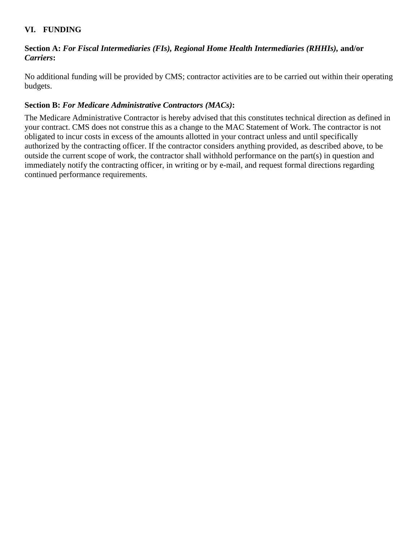## **VI. FUNDING**

#### **Section A:** *For Fiscal Intermediaries (FIs), Regional Home Health Intermediaries (RHHIs),* **and/or** *Carriers***:**

No additional funding will be provided by CMS; contractor activities are to be carried out within their operating budgets.

#### **Section B:** *For Medicare Administrative Contractors (MACs)***:**

The Medicare Administrative Contractor is hereby advised that this constitutes technical direction as defined in your contract. CMS does not construe this as a change to the MAC Statement of Work. The contractor is not obligated to incur costs in excess of the amounts allotted in your contract unless and until specifically authorized by the contracting officer. If the contractor considers anything provided, as described above, to be outside the current scope of work, the contractor shall withhold performance on the part(s) in question and immediately notify the contracting officer, in writing or by e-mail, and request formal directions regarding continued performance requirements.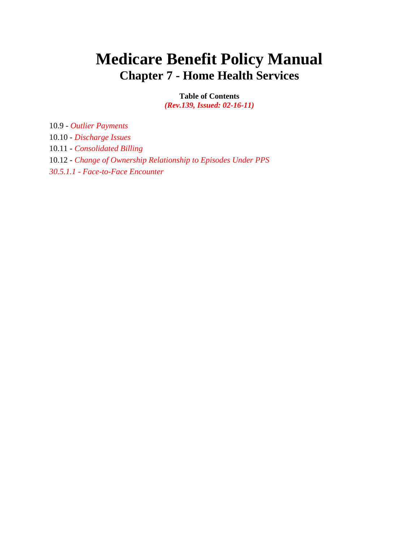# **Medicare Benefit Policy Manual Chapter 7 - Home Health Services**

**Table of Contents** *(Rev.139, Issued: 02-16-11)*

10.9 - *Outlier Payments* 10.10 - *Discharge Issues* 10.11 - *Consolidated Billing* 10.12 - *Change of Ownership Relationship to Episodes Under PPS 30.5.1.1 - Face-to-Face Encounter*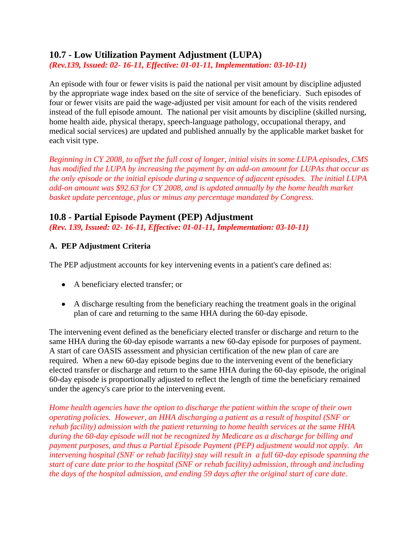## **10.7 - Low Utilization Payment Adjustment (LUPA)**

*(Rev.139, Issued: 02- 16-11, Effective: 01-01-11, Implementation: 03-10-11)*

An episode with four or fewer visits is paid the national per visit amount by discipline adjusted by the appropriate wage index based on the site of service of the beneficiary. Such episodes of four or fewer visits are paid the wage-adjusted per visit amount for each of the visits rendered instead of the full episode amount. The national per visit amounts by discipline (skilled nursing, home health aide, physical therapy, speech-language pathology, occupational therapy, and medical social services) are updated and published annually by the applicable market basket for each visit type.

*Beginning in CY 2008, to offset the full cost of longer, initial visits in some LUPA episodes, CMS has modified the LUPA by increasing the payment by an add-on amount for LUPAs that occur as the only episode or the initial episode during a sequence of adjacent episodes. The initial LUPA add-on amount was \$92.63 for CY 2008, and is updated annually by the home health market basket update percentage, plus or minus any percentage mandated by Congress.*

## **10.8 - Partial Episode Payment (PEP) Adjustment**

*(Rev. 139, Issued: 02- 16-11, Effective: 01-01-11, Implementation: 03-10-11)*

## **A. PEP Adjustment Criteria**

The PEP adjustment accounts for key intervening events in a patient's care defined as:

- A beneficiary elected transfer; or
- A discharge resulting from the beneficiary reaching the treatment goals in the original plan of care and returning to the same HHA during the 60-day episode.

The intervening event defined as the beneficiary elected transfer or discharge and return to the same HHA during the 60-day episode warrants a new 60-day episode for purposes of payment. A start of care OASIS assessment and physician certification of the new plan of care are required. When a new 60-day episode begins due to the intervening event of the beneficiary elected transfer or discharge and return to the same HHA during the 60-day episode, the original 60-day episode is proportionally adjusted to reflect the length of time the beneficiary remained under the agency's care prior to the intervening event.

*Home health agencies have the option to discharge the patient within the scope of their own operating policies. However, an HHA discharging a patient as a result of hospital (SNF or rehab facility) admission with the patient returning to home health services at the same HHA during the 60-day episode will not be recognized by Medicare as a discharge for billing and payment purposes, and thus a Partial Episode Payment (PEP) adjustment would not apply. An intervening hospital (SNF or rehab facility) stay will result in a full 60-day episode spanning the start of care date prior to the hospital (SNF or rehab facility) admission, through and including the days of the hospital admission, and ending 59 days after the original start of care date.*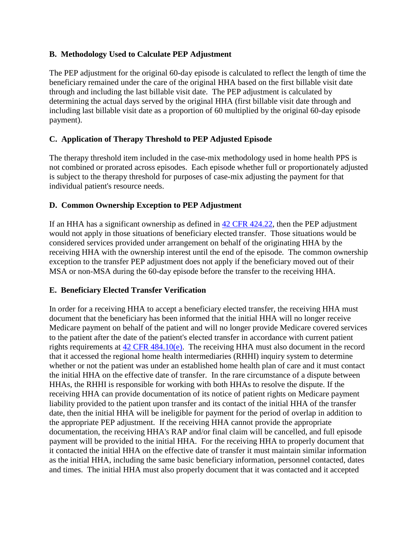#### **B. Methodology Used to Calculate PEP Adjustment**

The PEP adjustment for the original 60-day episode is calculated to reflect the length of time the beneficiary remained under the care of the original HHA based on the first billable visit date through and including the last billable visit date. The PEP adjustment is calculated by determining the actual days served by the original HHA (first billable visit date through and including last billable visit date as a proportion of 60 multiplied by the original 60-day episode payment).

#### **C. Application of Therapy Threshold to PEP Adjusted Episode**

The therapy threshold item included in the case-mix methodology used in home health PPS is not combined or prorated across episodes. Each episode whether full or proportionately adjusted is subject to the therapy threshold for purposes of case-mix adjusting the payment for that individual patient's resource needs.

#### **D. Common Ownership Exception to PEP Adjustment**

If an HHA has a significant ownership as defined in  $42$  CFR 424.22, then the PEP adjustment would not apply in those situations of beneficiary elected transfer. Those situations would be considered services provided under arrangement on behalf of the originating HHA by the receiving HHA with the ownership interest until the end of the episode. The common ownership exception to the transfer PEP adjustment does not apply if the beneficiary moved out of their MSA or non-MSA during the 60-day episode before the transfer to the receiving HHA.

#### **E. Beneficiary Elected Transfer Verification**

In order for a receiving HHA to accept a beneficiary elected transfer, the receiving HHA must document that the beneficiary has been informed that the initial HHA will no longer receive Medicare payment on behalf of the patient and will no longer provide Medicare covered services to the patient after the date of the patient's elected transfer in accordance with current patient rights requirements at [42 CFR 484.10\(e\).](http://ecfr.gpoaccess.gov/cgi/t/text/text-idx?c=ecfr&sid=c41b82f01e68abbdcf399040c9fecff8&rgn=div8&view=text&node=42:5.0.1.1.3.2.7.1&idno=42) The receiving HHA must also document in the record that it accessed the regional home health intermediaries (RHHI) inquiry system to determine whether or not the patient was under an established home health plan of care and it must contact the initial HHA on the effective date of transfer. In the rare circumstance of a dispute between HHAs, the RHHI is responsible for working with both HHAs to resolve the dispute. If the receiving HHA can provide documentation of its notice of patient rights on Medicare payment liability provided to the patient upon transfer and its contact of the initial HHA of the transfer date, then the initial HHA will be ineligible for payment for the period of overlap in addition to the appropriate PEP adjustment. If the receiving HHA cannot provide the appropriate documentation, the receiving HHA's RAP and/or final claim will be cancelled, and full episode payment will be provided to the initial HHA. For the receiving HHA to properly document that it contacted the initial HHA on the effective date of transfer it must maintain similar information as the initial HHA, including the same basic beneficiary information, personnel contacted, dates and times. The initial HHA must also properly document that it was contacted and it accepted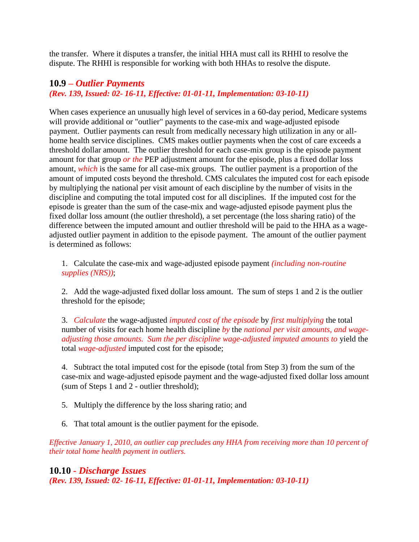the transfer. Where it disputes a transfer, the initial HHA must call its RHHI to resolve the dispute. The RHHI is responsible for working with both HHAs to resolve the dispute.

## **10.9** *– Outlier Payments (Rev. 139, Issued: 02- 16-11, Effective: 01-01-11, Implementation: 03-10-11)*

When cases experience an unusually high level of services in a 60-day period, Medicare systems will provide additional or "outlier" payments to the case-mix and wage-adjusted episode payment. Outlier payments can result from medically necessary high utilization in any or allhome health service disciplines. CMS makes outlier payments when the cost of care exceeds a threshold dollar amount. The outlier threshold for each case-mix group is the episode payment amount for that group *or the* PEP adjustment amount for the episode, plus a fixed dollar loss amount, *which* is the same for all case-mix groups. The outlier payment is a proportion of the amount of imputed costs beyond the threshold. CMS calculates the imputed cost for each episode by multiplying the national per visit amount of each discipline by the number of visits in the discipline and computing the total imputed cost for all disciplines. If the imputed cost for the episode is greater than the sum of the case-mix and wage-adjusted episode payment plus the fixed dollar loss amount (the outlier threshold), a set percentage (the loss sharing ratio) of the difference between the imputed amount and outlier threshold will be paid to the HHA as a wageadjusted outlier payment in addition to the episode payment. The amount of the outlier payment is determined as follows:

1. Calculate the case-mix and wage-adjusted episode payment *(including non-routine supplies (NRS))*;

2. Add the wage-adjusted fixed dollar loss amount. The sum of steps 1 and 2 is the outlier threshold for the episode;

3. *Calculate* the wage-adjusted *imputed cost of the episode* by *first multiplying* the total number of visits for each home health discipline *by* the *national per visit amounts, and wageadjusting those amounts. Sum the per discipline wage-adjusted imputed amounts to* yield the total *wage-adjusted* imputed cost for the episode;

4. Subtract the total imputed cost for the episode (total from Step 3) from the sum of the case-mix and wage-adjusted episode payment and the wage-adjusted fixed dollar loss amount (sum of Steps 1 and 2 - outlier threshold);

- 5. Multiply the difference by the loss sharing ratio; and
- 6. That total amount is the outlier payment for the episode.

*Effective January 1, 2010, an outlier cap precludes any HHA from receiving more than 10 percent of their total home health payment in outliers.*

## **10.10** *- Discharge Issues (Rev. 139, Issued: 02- 16-11, Effective: 01-01-11, Implementation: 03-10-11)*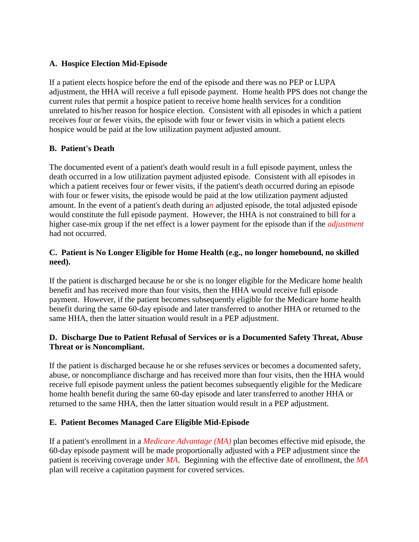#### **A. Hospice Election Mid-Episode**

If a patient elects hospice before the end of the episode and there was no PEP or LUPA adjustment, the HHA will receive a full episode payment. Home health PPS does not change the current rules that permit a hospice patient to receive home health services for a condition unrelated to his/her reason for hospice election. Consistent with all episodes in which a patient receives four or fewer visits, the episode with four or fewer visits in which a patient elects hospice would be paid at the low utilization payment adjusted amount.

#### **B. Patient's Death**

The documented event of a patient's death would result in a full episode payment, unless the death occurred in a low utilization payment adjusted episode. Consistent with all episodes in which a patient receives four or fewer visits, if the patient's death occurred during an episode with four or fewer visits, the episode would be paid at the low utilization payment adjusted amount. In the event of a patient's death during a*n* adjusted episode, the total adjusted episode would constitute the full episode payment. However, the HHA is not constrained to bill for a higher case-mix group if the net effect is a lower payment for the episode than if the *adjustment* had not occurred.

#### **C. Patient is No Longer Eligible for Home Health (e.g., no longer homebound, no skilled need).**

If the patient is discharged because he or she is no longer eligible for the Medicare home health benefit and has received more than four visits, then the HHA would receive full episode payment. However, if the patient becomes subsequently eligible for the Medicare home health benefit during the same 60-day episode and later transferred to another HHA or returned to the same HHA, then the latter situation would result in a PEP adjustment.

#### **D. Discharge Due to Patient Refusal of Services or is a Documented Safety Threat, Abuse Threat or is Noncompliant.**

If the patient is discharged because he or she refuses services or becomes a documented safety, abuse, or noncompliance discharge and has received more than four visits, then the HHA would receive full episode payment unless the patient becomes subsequently eligible for the Medicare home health benefit during the same 60-day episode and later transferred to another HHA or returned to the same HHA, then the latter situation would result in a PEP adjustment.

#### **E. Patient Becomes Managed Care Eligible Mid-Episode**

If a patient's enrollment in a *Medicare Advantage (MA)* plan becomes effective mid episode, the 60-day episode payment will be made proportionally adjusted with a PEP adjustment since the patient is receiving coverage under *MA*. Beginning with the effective date of enrollment, the *MA* plan will receive a capitation payment for covered services.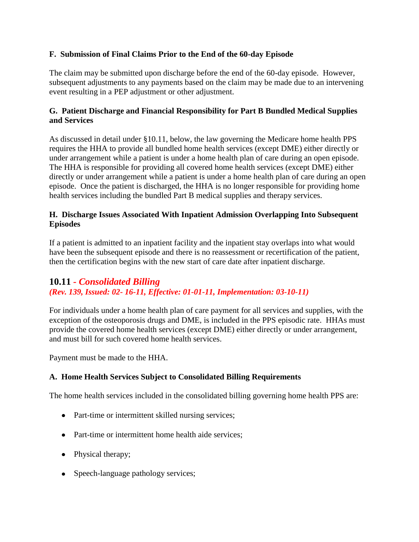#### **F. Submission of Final Claims Prior to the End of the 60-day Episode**

The claim may be submitted upon discharge before the end of the 60-day episode. However, subsequent adjustments to any payments based on the claim may be made due to an intervening event resulting in a PEP adjustment or other adjustment.

#### **G. Patient Discharge and Financial Responsibility for Part B Bundled Medical Supplies and Services**

As discussed in detail under §10.11, below, the law governing the Medicare home health PPS requires the HHA to provide all bundled home health services (except DME) either directly or under arrangement while a patient is under a home health plan of care during an open episode. The HHA is responsible for providing all covered home health services (except DME) either directly or under arrangement while a patient is under a home health plan of care during an open episode. Once the patient is discharged, the HHA is no longer responsible for providing home health services including the bundled Part B medical supplies and therapy services.

#### **H. Discharge Issues Associated With Inpatient Admission Overlapping Into Subsequent Episodes**

If a patient is admitted to an inpatient facility and the inpatient stay overlaps into what would have been the subsequent episode and there is no reassessment or recertification of the patient, then the certification begins with the new start of care date after inpatient discharge.

## **10.11** *- Consolidated Billing (Rev. 139, Issued: 02- 16-11, Effective: 01-01-11, Implementation: 03-10-11)*

For individuals under a home health plan of care payment for all services and supplies, with the exception of the osteoporosis drugs and DME, is included in the PPS episodic rate. HHAs must provide the covered home health services (except DME) either directly or under arrangement, and must bill for such covered home health services.

Payment must be made to the HHA.

## **A. Home Health Services Subject to Consolidated Billing Requirements**

The home health services included in the consolidated billing governing home health PPS are:

- Part-time or intermittent skilled nursing services;
- Part-time or intermittent home health aide services:
- Physical therapy;
- Speech-language pathology services;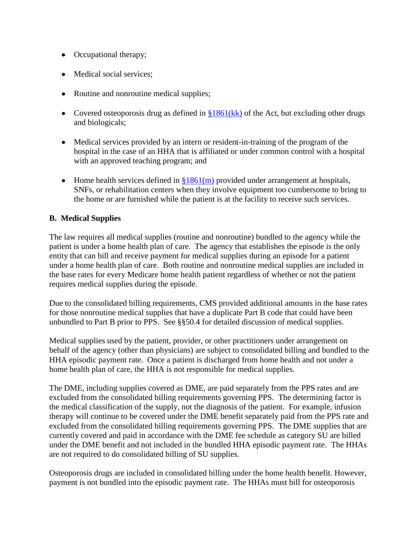- Occupational therapy;
- Medical social services;
- Routine and nonroutine medical supplies;
- Covered osteoporosis drug as defined in  $$1861(kk)$  of the Act, but excluding other drugs and biologicals;
- Medical services provided by an intern or resident-in-training of the program of the hospital in the case of an HHA that is affiliated or under common control with a hospital with an approved teaching program; and
- Home health services defined in  $$1861(m)$  provided under arrangement at hospitals, SNFs, or rehabilitation centers when they involve equipment too cumbersome to bring to the home or are furnished while the patient is at the facility to receive such services.

#### **B. Medical Supplies**

The law requires all medical supplies (routine and nonroutine) bundled to the agency while the patient is under a home health plan of care. The agency that establishes the episode is the only entity that can bill and receive payment for medical supplies during an episode for a patient under a home health plan of care. Both routine and nonroutine medical supplies are included in the base rates for every Medicare home health patient regardless of whether or not the patient requires medical supplies during the episode.

Due to the consolidated billing requirements, CMS provided additional amounts in the base rates for those nonroutine medical supplies that have a duplicate Part B code that could have been unbundled to Part B prior to PPS. See §§50.4 for detailed discussion of medical supplies.

Medical supplies used by the patient, provider, or other practitioners under arrangement on behalf of the agency (other than physicians) are subject to consolidated billing and bundled to the HHA episodic payment rate. Once a patient is discharged from home health and not under a home health plan of care, the HHA is not responsible for medical supplies.

The DME, including supplies covered as DME, are paid separately from the PPS rates and are excluded from the consolidated billing requirements governing PPS. The determining factor is the medical classification of the supply, not the diagnosis of the patient. For example, infusion therapy will continue to be covered under the DME benefit separately paid from the PPS rate and excluded from the consolidated billing requirements governing PPS. The DME supplies that are currently covered and paid in accordance with the DME fee schedule as category SU are billed under the DME benefit and not included in the bundled HHA episodic payment rate. The HHAs are not required to do consolidated billing of SU supplies.

Osteoporosis drugs are included in consolidated billing under the home health benefit. However, payment is not bundled into the episodic payment rate. The HHAs must bill for osteoporosis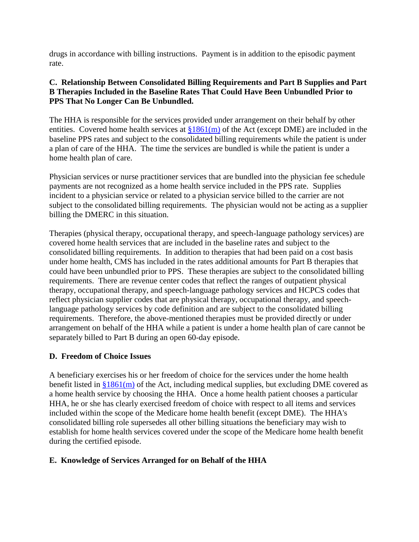drugs in accordance with billing instructions. Payment is in addition to the episodic payment rate.

#### **C. Relationship Between Consolidated Billing Requirements and Part B Supplies and Part B Therapies Included in the Baseline Rates That Could Have Been Unbundled Prior to PPS That No Longer Can Be Unbundled.**

The HHA is responsible for the services provided under arrangement on their behalf by other entities. Covered home health services at  $\frac{81861(m)}{m}$  of the Act (except DME) are included in the baseline PPS rates and subject to the consolidated billing requirements while the patient is under a plan of care of the HHA. The time the services are bundled is while the patient is under a home health plan of care.

Physician services or nurse practitioner services that are bundled into the physician fee schedule payments are not recognized as a home health service included in the PPS rate. Supplies incident to a physician service or related to a physician service billed to the carrier are not subject to the consolidated billing requirements. The physician would not be acting as a supplier billing the DMERC in this situation.

Therapies (physical therapy, occupational therapy, and speech-language pathology services) are covered home health services that are included in the baseline rates and subject to the consolidated billing requirements. In addition to therapies that had been paid on a cost basis under home health, CMS has included in the rates additional amounts for Part B therapies that could have been unbundled prior to PPS. These therapies are subject to the consolidated billing requirements. There are revenue center codes that reflect the ranges of outpatient physical therapy, occupational therapy, and speech-language pathology services and HCPCS codes that reflect physician supplier codes that are physical therapy, occupational therapy, and speechlanguage pathology services by code definition and are subject to the consolidated billing requirements. Therefore, the above-mentioned therapies must be provided directly or under arrangement on behalf of the HHA while a patient is under a home health plan of care cannot be separately billed to Part B during an open 60-day episode.

#### **D. Freedom of Choice Issues**

A beneficiary exercises his or her freedom of choice for the services under the home health benefit listed in [§1861\(m\)](http://www.ssa.gov/OP_Home/ssact/title18/1861.htm) of the Act, including medical supplies, but excluding DME covered as a home health service by choosing the HHA. Once a home health patient chooses a particular HHA, he or she has clearly exercised freedom of choice with respect to all items and services included within the scope of the Medicare home health benefit (except DME). The HHA's consolidated billing role supersedes all other billing situations the beneficiary may wish to establish for home health services covered under the scope of the Medicare home health benefit during the certified episode.

#### **E. Knowledge of Services Arranged for on Behalf of the HHA**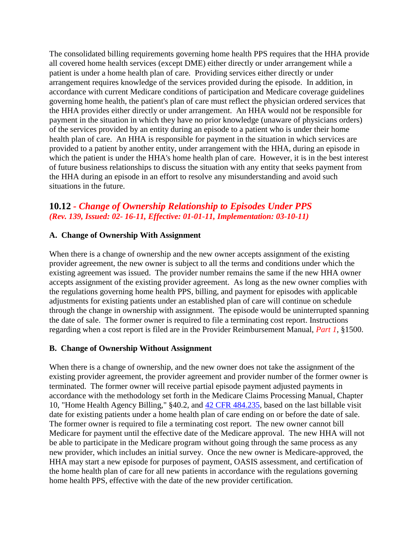The consolidated billing requirements governing home health PPS requires that the HHA provide all covered home health services (except DME) either directly or under arrangement while a patient is under a home health plan of care. Providing services either directly or under arrangement requires knowledge of the services provided during the episode. In addition, in accordance with current Medicare conditions of participation and Medicare coverage guidelines governing home health, the patient's plan of care must reflect the physician ordered services that the HHA provides either directly or under arrangement. An HHA would not be responsible for payment in the situation in which they have no prior knowledge (unaware of physicians orders) of the services provided by an entity during an episode to a patient who is under their home health plan of care. An HHA is responsible for payment in the situation in which services are provided to a patient by another entity, under arrangement with the HHA, during an episode in which the patient is under the HHA's home health plan of care. However, it is in the best interest of future business relationships to discuss the situation with any entity that seeks payment from the HHA during an episode in an effort to resolve any misunderstanding and avoid such situations in the future.

## **10.12** *- Change of Ownership Relationship to Episodes Under PPS (Rev. 139, Issued: 02- 16-11, Effective: 01-01-11, Implementation: 03-10-11)*

#### **A. Change of Ownership With Assignment**

When there is a change of ownership and the new owner accepts assignment of the existing provider agreement, the new owner is subject to all the terms and conditions under which the existing agreement was issued. The provider number remains the same if the new HHA owner accepts assignment of the existing provider agreement. As long as the new owner complies with the regulations governing home health PPS, billing, and payment for episodes with applicable adjustments for existing patients under an established plan of care will continue on schedule through the change in ownership with assignment. The episode would be uninterrupted spanning the date of sale. The former owner is required to file a terminating cost report. Instructions regarding when a cost report is filed are in the Provider Reimbursement Manual, *Part 1*, §1500.

#### **B. Change of Ownership Without Assignment**

When there is a change of ownership, and the new owner does not take the assignment of the existing provider agreement, the provider agreement and provider number of the former owner is terminated. The former owner will receive partial episode payment adjusted payments in accordance with the methodology set forth in the Medicare Claims Processing Manual, Chapter 10, "Home Health Agency Billing," §40.2, and [42 CFR 484.235,](http://ecfr.gpoaccess.gov/cgi/t/text/text-idx?c=ecfr&sid=c41b82f01e68abbdcf399040c9fecff8&rgn=div8&view=text&node=42:5.0.1.1.3.5.7.9&idno=42) based on the last billable visit date for existing patients under a home health plan of care ending on or before the date of sale. The former owner is required to file a terminating cost report. The new owner cannot bill Medicare for payment until the effective date of the Medicare approval. The new HHA will not be able to participate in the Medicare program without going through the same process as any new provider, which includes an initial survey. Once the new owner is Medicare-approved, the HHA may start a new episode for purposes of payment, OASIS assessment, and certification of the home health plan of care for all new patients in accordance with the regulations governing home health PPS, effective with the date of the new provider certification.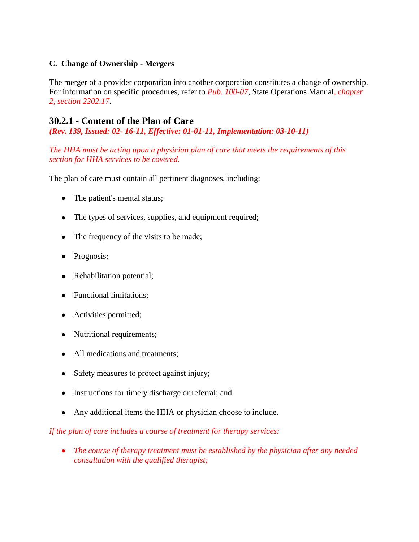#### **C. Change of Ownership - Mergers**

The merger of a provider corporation into another corporation constitutes a change of ownership. For information on specific procedures, refer to *Pub. 100-07*, State Operations Manual*, chapter 2, section 2202.17*.

#### **30.2.1 - Content of the Plan of Care**

*(Rev. 139, Issued: 02- 16-11, Effective: 01-01-11, Implementation: 03-10-11)*

*The HHA must be acting upon a physician plan of care that meets the requirements of this section for HHA services to be covered.*

The plan of care must contain all pertinent diagnoses, including:

- The patient's mental status;
- The types of services, supplies, and equipment required;
- The frequency of the visits to be made;
- Prognosis;
- Rehabilitation potential;
- Functional limitations;
- Activities permitted;
- Nutritional requirements;
- All medications and treatments;
- Safety measures to protect against injury;
- Instructions for timely discharge or referral; and
- Any additional items the HHA or physician choose to include.  $\bullet$

*If the plan of care includes a course of treatment for therapy services:*

*The course of therapy treatment must be established by the physician after any needed consultation with the qualified therapist;*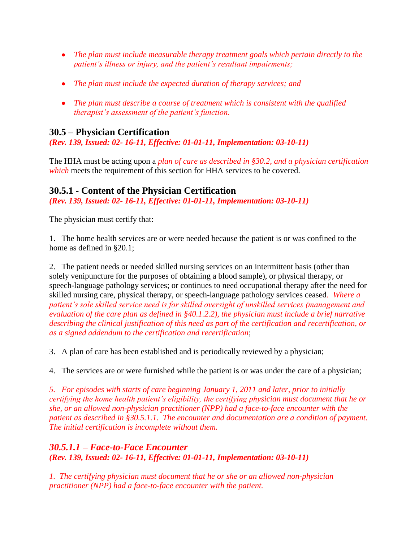- *The plan must include measurable therapy treatment goals which pertain directly to the patient's illness or injury, and the patient's resultant impairments;*
- *The plan must include the expected duration of therapy services; and*
- *The plan must describe a course of treatment which is consistent with the qualified therapist's assessment of the patient's function.*

## **30.5 – Physician Certification**

*(Rev. 139, Issued: 02- 16-11, Effective: 01-01-11, Implementation: 03-10-11)*

The HHA must be acting upon a *plan of care as described in §30.2, and a physician certification which* meets the requirement of this section for HHA services to be covered.

## **30.5.1 - Content of the Physician Certification**

*(Rev. 139, Issued: 02- 16-11, Effective: 01-01-11, Implementation: 03-10-11)*

The physician must certify that:

1. The home health services are or were needed because the patient is or was confined to the home as defined in §20.1;

2. The patient needs or needed skilled nursing services on an intermittent basis (other than solely venipuncture for the purposes of obtaining a blood sample), or physical therapy, or speech-language pathology services; or continues to need occupational therapy after the need for skilled nursing care, physical therapy, or speech-language pathology services ceased*. Where a patient's sole skilled service need is for skilled oversight of unskilled services (management and evaluation of the care plan as defined in §40.1.2.2), the physician must include a brief narrative describing the clinical justification of this need as part of the certification and recertification, or as a signed addendum to the certification and recertification*;

3. A plan of care has been established and is periodically reviewed by a physician;

4. The services are or were furnished while the patient is or was under the care of a physician;

*5. For episodes with starts of care beginning January 1, 2011 and later, prior to initially certifying the home health patient's eligibility, the certifying physician must document that he or she, or an allowed non-physician practitioner (NPP) had a face-to-face encounter with the patient as described in §30.5.1.1. The encounter and documentation are a condition of payment. The initial certification is incomplete without them.*

## *30.5.1.1 – Face-to-Face Encounter (Rev. 139, Issued: 02- 16-11, Effective: 01-01-11, Implementation: 03-10-11)*

*1. The certifying physician must document that he or she or an allowed non-physician practitioner (NPP) had a face-to-face encounter with the patient.*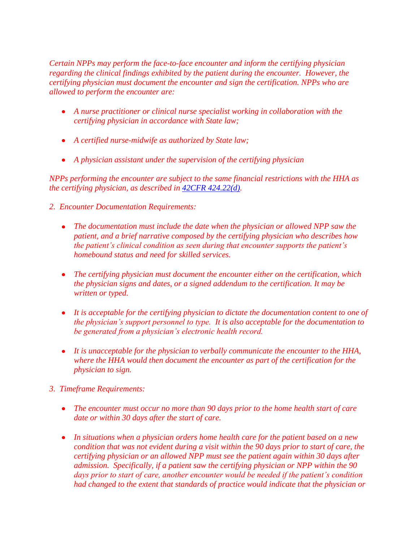*Certain NPPs may perform the face-to-face encounter and inform the certifying physician regarding the clinical findings exhibited by the patient during the encounter. However, the certifying physician must document the encounter and sign the certification. NPPs who are allowed to perform the encounter are:*

- *A nurse practitioner or clinical nurse specialist working in collaboration with the certifying physician in accordance with State law;*
- *A certified nurse-midwife as authorized by State law;*
- *A physician assistant under the supervision of the certifying physician*

*NPPs performing the encounter are subject to the same financial restrictions with the HHA as the certifying physician, as described in [42CFR 424.22\(d\).](http://ecfr.gpoaccess.gov/cgi/t/text/text-idx?c=ecfr&sid=2902f2cc48720225f7898fdd16dd16c3&rgn=div8&view=text&node=42:3.0.1.1.11.2.6.8&idno=42)*

- *2. Encounter Documentation Requirements:*
	- The documentation must include the date when the physician or allowed NPP saw the *patient, and a brief narrative composed by the certifying physician who describes how the patient's clinical condition as seen during that encounter supports the patient's homebound status and need for skilled services.*
	- *The certifying physician must document the encounter either on the certification, which the physician signs and dates, or a signed addendum to the certification. It may be written or typed.*
	- *It is acceptable for the certifying physician to dictate the documentation content to one of the physician's support personnel to type. It is also acceptable for the documentation to be generated from a physician's electronic health record.*
	- *It is unacceptable for the physician to verbally communicate the encounter to the HHA, where the HHA would then document the encounter as part of the certification for the physician to sign.*
- *3. Timeframe Requirements:*
	- *The encounter must occur no more than 90 days prior to the home health start of care date or within 30 days after the start of care.*
	- *In situations when a physician orders home health care for the patient based on a new condition that was not evident during a visit within the 90 days prior to start of care, the certifying physician or an allowed NPP must see the patient again within 30 days after admission. Specifically, if a patient saw the certifying physician or NPP within the 90 days prior to start of care, another encounter would be needed if the patient's condition had changed to the extent that standards of practice would indicate that the physician or*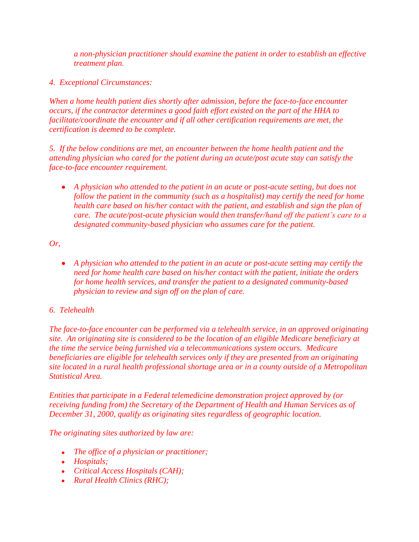*a non-physician practitioner should examine the patient in order to establish an effective treatment plan.*

*4. Exceptional Circumstances:*

*When a home health patient dies shortly after admission, before the face-to-face encounter occurs, if the contractor determines a good faith effort existed on the part of the HHA to facilitate/coordinate the encounter and if all other certification requirements are met, the certification is deemed to be complete.*

*5. If the below conditions are met, an encounter between the home health patient and the attending physician who cared for the patient during an acute/post acute stay can satisfy the face-to-face encounter requirement.*

*A physician who attended to the patient in an acute or post-acute setting, but does not follow the patient in the community (such as a hospitalist) may certify the need for home health care based on his/her contact with the patient, and establish and sign the plan of care. The acute/post-acute physician would then transfer/hand off the patient's care to a designated community-based physician who assumes care for the patient.*

*Or,*

*A physician who attended to the patient in an acute or post-acute setting may certify the need for home health care based on his/her contact with the patient, initiate the orders for home health services, and transfer the patient to a designated community-based physician to review and sign off on the plan of care.*

## *6. Telehealth*

*The face-to-face encounter can be performed via a telehealth service, in an approved originating site. An originating site is considered to be the location of an eligible Medicare beneficiary at the time the service being furnished via a telecommunications system occurs. Medicare beneficiaries are eligible for telehealth services only if they are presented from an originating site located in a rural health professional shortage area or in a county outside of a Metropolitan Statistical Area.*

*Entities that participate in a Federal telemedicine demonstration project approved by (or receiving funding from) the Secretary of the Department of Health and Human Services as of December 31, 2000, qualify as originating sites regardless of geographic location.*

*The originating sites authorized by law are:*

- *The office of a physician or practitioner;*
- *Hospitals;*
- *Critical Access Hospitals (CAH);*
- *Rural Health Clinics (RHC);*